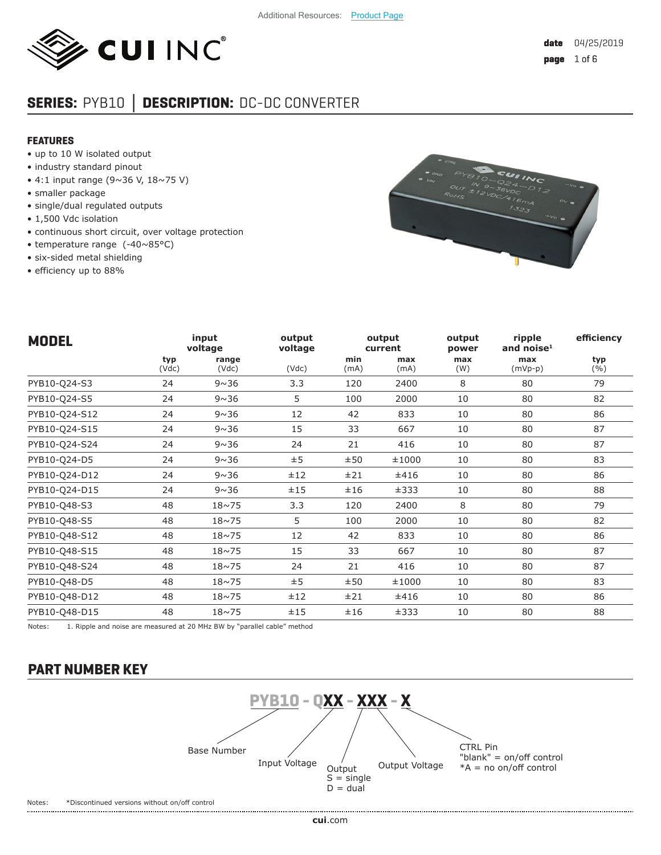

# **SERIES:** PYB10 **│ DESCRIPTION:** DC-DC CONVERTER

#### **FEATURES**

- up to 10 W isolated output
- industry standard pinout
- 4:1 input range (9~36 V, 18~75 V)
- smaller package
- single/dual regulated outputs
- 1,500 Vdc isolation
- continuous short circuit, over voltage protection
- temperature range (-40~85°C)
- six-sided metal shielding
- efficiency up to 88%



| <b>MODEL</b>  |              | input<br>voltage | output<br>voltage |             | output<br>current | output<br>power | ripple<br>and noise $1$ | efficiency |
|---------------|--------------|------------------|-------------------|-------------|-------------------|-----------------|-------------------------|------------|
|               | typ<br>(Vdc) | range<br>(Vdc)   | (Vdc)             | min<br>(mA) | max<br>(mA)       | max<br>(W)      | max<br>$(mVp-p)$        | typ<br>(%) |
| PYB10-Q24-S3  | 24           | $9 \sim 36$      | 3.3               | 120         | 2400              | 8               | 80                      | 79         |
| PYB10-Q24-S5  | 24           | $9 \sim 36$      | 5                 | 100         | 2000              | 10              | 80                      | 82         |
| PYB10-Q24-S12 | 24           | $9 \sim 36$      | 12                | 42          | 833               | 10              | 80                      | 86         |
| PYB10-Q24-S15 | 24           | $9 \sim 36$      | 15                | 33          | 667               | 10              | 80                      | 87         |
| PYB10-Q24-S24 | 24           | $9 \sim 36$      | 24                | 21          | 416               | 10              | 80                      | 87         |
| PYB10-Q24-D5  | 24           | $9 \sim 36$      | ±5                | ±50         | ±1000             | 10              | 80                      | 83         |
| PYB10-Q24-D12 | 24           | $9 \sim 36$      | ±12               | ±21         | ±416              | 10              | 80                      | 86         |
| PYB10-Q24-D15 | 24           | $9 \sim 36$      | ±15               | ±16         | ±333              | 10              | 80                      | 88         |
| PYB10-Q48-S3  | 48           | $18 \sim 75$     | 3.3               | 120         | 2400              | 8               | 80                      | 79         |
| PYB10-Q48-S5  | 48           | $18 \sim 75$     | 5                 | 100         | 2000              | 10              | 80                      | 82         |
| PYB10-Q48-S12 | 48           | $18 \sim 75$     | 12                | 42          | 833               | 10              | 80                      | 86         |
| PYB10-Q48-S15 | 48           | $18 \sim 75$     | 15                | 33          | 667               | 10              | 80                      | 87         |
| PYB10-Q48-S24 | 48           | $18 \sim 75$     | 24                | 21          | 416               | 10              | 80                      | 87         |
| PYB10-Q48-D5  | 48           | $18 \sim 75$     | ±5                | ±50         | ±1000             | 10              | 80                      | 83         |
| PYB10-Q48-D12 | 48           | $18 \sim 75$     | ±12               | ±21         | ±416              | 10              | 80                      | 86         |
| PYB10-Q48-D15 | 48           | $18 \sim 75$     | ±15               | ±16         | ±333              | 10              | 80                      | 88         |

Notes: 1. Ripple and noise are measured at 20 MHz BW by "parallel cable" method

# **PART NUMBER KEY**

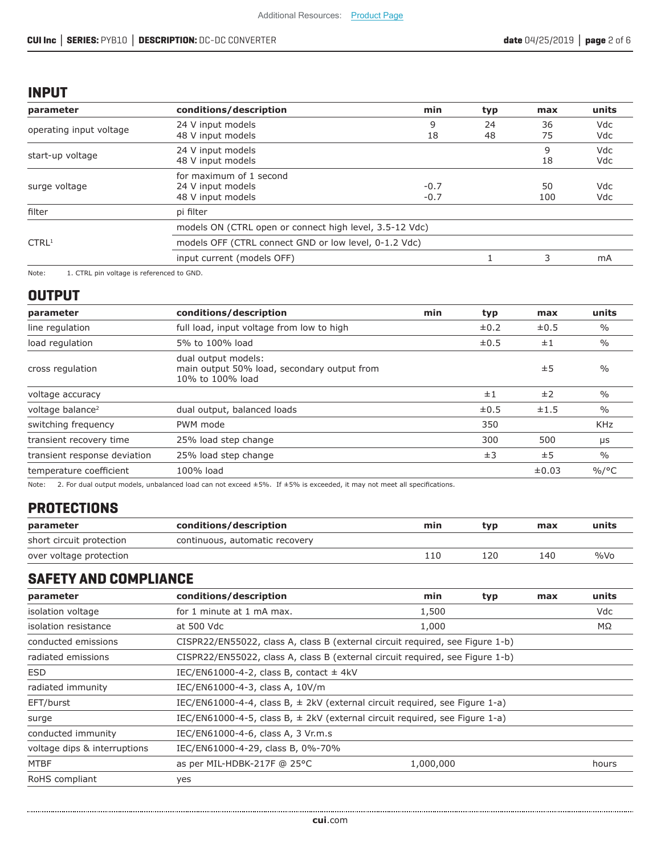## **INPUT**

| parameter               | conditions/description                                            | min              | typ      | max       | units             |
|-------------------------|-------------------------------------------------------------------|------------------|----------|-----------|-------------------|
| operating input voltage | 24 V input models<br>48 V input models                            | 9<br>18          | 24<br>48 | 36<br>75  | Vdc<br>Vdc        |
| start-up voltage        | 24 V input models<br>48 V input models                            |                  |          | 9<br>18   | Vdc<br>Vdc        |
| surge voltage           | for maximum of 1 second<br>24 V input models<br>48 V input models | $-0.7$<br>$-0.7$ |          | 50<br>100 | <b>Vdc</b><br>Vdc |
| filter                  | pi filter                                                         |                  |          |           |                   |
|                         | models ON (CTRL open or connect high level, 3.5-12 Vdc)           |                  |          |           |                   |
| CTRL <sup>1</sup>       | models OFF (CTRL connect GND or low level, 0-1.2 Vdc)             |                  |          |           |                   |
|                         | input current (models OFF)                                        |                  |          | 3         | mA                |
|                         |                                                                   |                  |          |           |                   |

Note: 1. CTRL pin voltage is referenced to GND.

## **OUTPUT**

| parameter                    | conditions/description                                                                 | min | typ       | max       | units         |
|------------------------------|----------------------------------------------------------------------------------------|-----|-----------|-----------|---------------|
| line regulation              | full load, input voltage from low to high                                              |     | $\pm 0.2$ | $\pm 0.5$ | $\frac{0}{0}$ |
| load regulation              | 5% to 100% load                                                                        |     | $\pm 0.5$ | ±1        | $\%$          |
| cross regulation             | dual output models:<br>main output 50% load, secondary output from<br>10% to 100% load |     |           | ±5        | $\frac{0}{0}$ |
| voltage accuracy             |                                                                                        |     | ±1        | ±2        | $\frac{0}{0}$ |
| voltage balance <sup>2</sup> | dual output, balanced loads                                                            |     | $\pm 0.5$ | ±1.5      | $\%$          |
| switching frequency          | PWM mode                                                                               |     | 350       |           | <b>KHz</b>    |
| transient recovery time      | 25% load step change                                                                   |     | 300       | 500       | μs            |
| transient response deviation | 25% load step change                                                                   |     | ±3        | ±5        | $\frac{0}{0}$ |
| temperature coefficient      | 100% load                                                                              |     |           | ±0.03     | $\%$ /°C      |

Note: 2. For dual output models, unbalanced load can not exceed ±5%. If ±5% is exceeded, it may not meet all specifications.

# **PROTECTIONS**

| parameter                | conditions/description         | min | tvp | max | units   |
|--------------------------|--------------------------------|-----|-----|-----|---------|
| short circuit protection | continuous, automatic recovery |     |     |     |         |
| over voltage protection  |                                | 110 | 120 | 140 | $\%$ Vo |

# **SAFETY AND COMPLIANCE**

| parameter                    | conditions/description                                                          | min                                                                           | typ | max | units |  |  |
|------------------------------|---------------------------------------------------------------------------------|-------------------------------------------------------------------------------|-----|-----|-------|--|--|
| isolation voltage            | for 1 minute at 1 mA max.                                                       | 1,500                                                                         |     |     | Vdc   |  |  |
| isolation resistance         | at 500 Vdc                                                                      | 1,000                                                                         |     |     | ΜΩ    |  |  |
| conducted emissions          |                                                                                 | CISPR22/EN55022, class A, class B (external circuit required, see Figure 1-b) |     |     |       |  |  |
| radiated emissions           | CISPR22/EN55022, class A, class B (external circuit required, see Figure 1-b)   |                                                                               |     |     |       |  |  |
| <b>ESD</b>                   | IEC/EN61000-4-2, class B, contact $\pm$ 4kV                                     |                                                                               |     |     |       |  |  |
| radiated immunity            | IEC/EN61000-4-3, class A, 10V/m                                                 |                                                                               |     |     |       |  |  |
| EFT/burst                    | IEC/EN61000-4-4, class B, $\pm$ 2kV (external circuit required, see Figure 1-a) |                                                                               |     |     |       |  |  |
| surge                        | IEC/EN61000-4-5, class B, $\pm$ 2kV (external circuit required, see Figure 1-a) |                                                                               |     |     |       |  |  |
| conducted immunity           | IEC/EN61000-4-6, class A, 3 Vr.m.s                                              |                                                                               |     |     |       |  |  |
| voltage dips & interruptions | IEC/EN61000-4-29, class B, 0%-70%                                               |                                                                               |     |     |       |  |  |
| <b>MTBF</b>                  | as per MIL-HDBK-217F @ 25°C                                                     | 1,000,000                                                                     |     |     | hours |  |  |
| RoHS compliant               | yes                                                                             |                                                                               |     |     |       |  |  |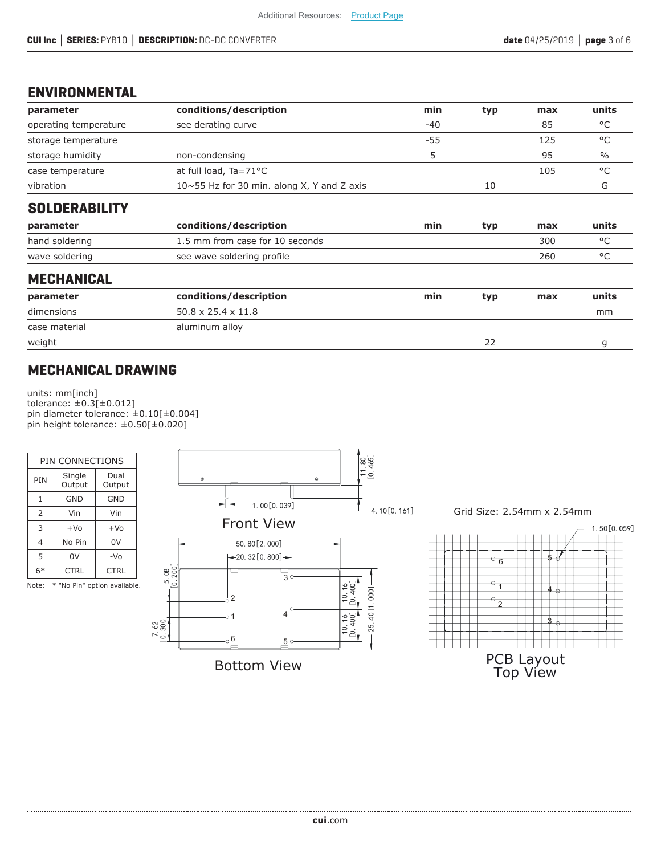## **ENVIRONMENTAL**

| parameter             | conditions/description                            | min   | typ | max | units         |
|-----------------------|---------------------------------------------------|-------|-----|-----|---------------|
| operating temperature | see derating curve                                | $-40$ |     | 85  | °C            |
| storage temperature   |                                                   | -55   |     | 125 | °C            |
| storage humidity      | non-condensing                                    | 5     |     | 95  | $\frac{0}{0}$ |
| case temperature      | at full load, Ta=71°C                             |       |     | 105 | °C            |
| vibration             | $10 \sim 55$ Hz for 30 min. along X, Y and Z axis |       | 10  |     | G             |
| <b>SOLDERABILITY</b>  |                                                   |       |     |     |               |
| parameter             | conditions/description                            | min   | typ | max | units         |
| hand soldering        | 1.5 mm from case for 10 seconds                   |       |     | 300 | °C            |
| wave soldering        | see wave soldering profile                        |       |     | 260 | $^{\circ}$ C  |

## **MECHANICAL**

| parameter     | conditions/description         | min | typ | max | units |
|---------------|--------------------------------|-----|-----|-----|-------|
| dimensions    | $50.8 \times 25.4 \times 11.8$ |     |     |     | mm    |
| case material | aluminum alloy                 |     |     |     |       |
| weight        |                                |     |     |     |       |
|               |                                |     |     |     |       |

# **MECHANICAL DRAWING**

units: mm[inch] tolerance: ±0.3[±0.012] pin diameter tolerance: ±0.10[±0.004] pin height tolerance: ±0.50[±0.020]



Note: \* "No Pin" option available.



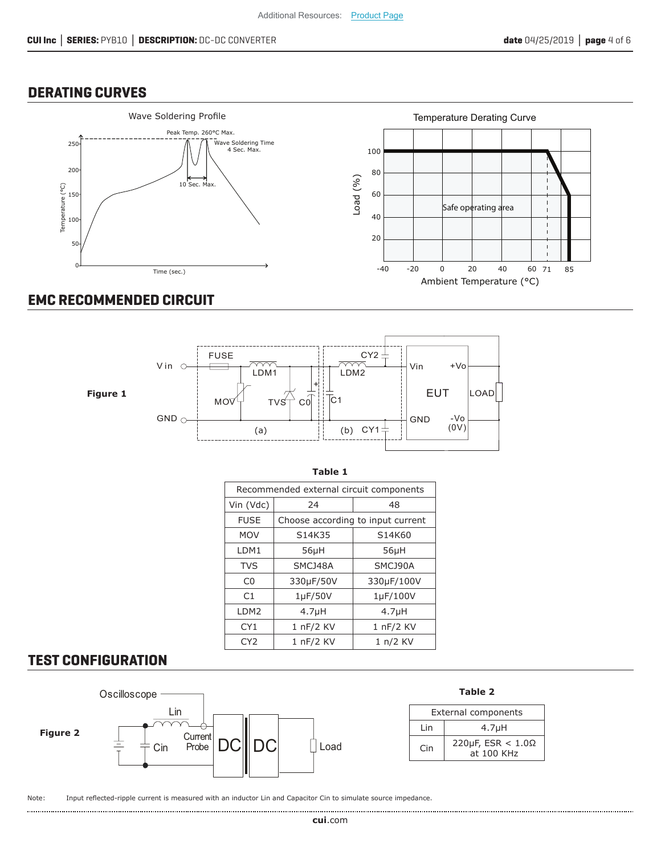#### **DERATING CURVES**



# **EMC RECOMMENDED CIRCUIT**



| Table 1                                 |                                   |                    |  |  |  |  |  |
|-----------------------------------------|-----------------------------------|--------------------|--|--|--|--|--|
| Recommended external circuit components |                                   |                    |  |  |  |  |  |
| Vin (Vdc)                               | 24<br>48                          |                    |  |  |  |  |  |
| <b>FUSE</b>                             | Choose according to input current |                    |  |  |  |  |  |
| <b>MOV</b>                              | S14K35                            | S14K60             |  |  |  |  |  |
| LDM1                                    | $56\mu$ H                         | $56\mu$ H          |  |  |  |  |  |
| <b>TVS</b>                              | SMCJ48A                           | SMCJ90A            |  |  |  |  |  |
| C <sub>0</sub>                          | 330µF/50V                         | 330µF/100V         |  |  |  |  |  |
| C1                                      | $1\mu$ F/50V                      | 1µF/100V           |  |  |  |  |  |
| LDM2                                    | 4.7 <sub>µ</sub> H                | 4.7 <sub>µ</sub> H |  |  |  |  |  |
| CY <sub>1</sub>                         | 1 nF/2 KV                         | 1 nF/2 KV          |  |  |  |  |  |
| CY <sub>2</sub>                         | 1 nF/2 KV                         | 1 n/2 KV           |  |  |  |  |  |

### **TEST CONFIGURATION**



Note: Input reflected-ripple current is measured with an inductor Lin and Capacitor Cin to simulate source impedance.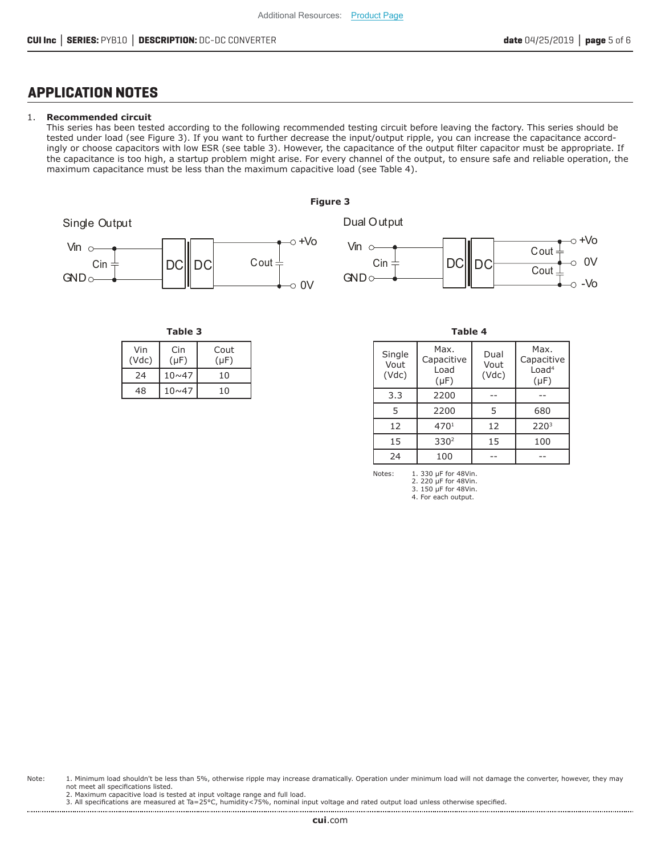### **APPLICATION NOTES**

#### 1. **Recommended circuit**

This series has been tested according to the following recommended testing circuit before leaving the factory. This series should be tested under load (see Figure 3). If you want to further decrease the input/output ripple, you can increase the capacitance accordingly or choose capacitors with low ESR (see table 3). However, the capacitance of the output filter capacitor must be appropriate. If the capacitance is too high, a startup problem might arise. For every channel of the output, to ensure safe and reliable operation, the maximum capacitance must be less than the maximum capacitive load (see Table 4).





**Table 3 Table 4**

| Vin<br>(Vdc) | Cin<br>$(\mu F)$ | Cout<br>$(\mu F)$ |
|--------------|------------------|-------------------|
| 24           | $10 \times 47$   | 10                |
| 48           | $10 \times 47$   | 10                |

| Single<br>Vout<br>(Vdc) | Max.<br>Capacitive<br>Load<br>$(\mu F)$ | Dual<br>Vout<br>(Vdc) | Max.<br>Capacitive<br>Load <sup>4</sup><br>$(\mu F)$ |
|-------------------------|-----------------------------------------|-----------------------|------------------------------------------------------|
| 3.3                     | 2200                                    |                       |                                                      |
| 5                       | 2200                                    | 5                     | 680                                                  |
| 12                      | 4701                                    | 12                    | 220 <sup>3</sup>                                     |
| 15                      | 330 <sup>2</sup>                        | 15                    | 100                                                  |
| 24                      | 100                                     |                       |                                                      |

Notes: 1. 330 μF for 48Vin. 2. 220 μF for 48Vin. 3. 150 μF for 48Vin. 4. For each output.

Note: 1. Minimum load shouldn't be less than 5%, otherwise ripple may increase dramatically. Operation under minimum load will not damage the converter, however, they may not meet all specifications listed.

2. Maximum capacitive load is tested at input voltage range and full load.

3. All specifications are measured at Ta=25°C, humidity<75%, nominal input voltage and rated output load unless otherwise specified.